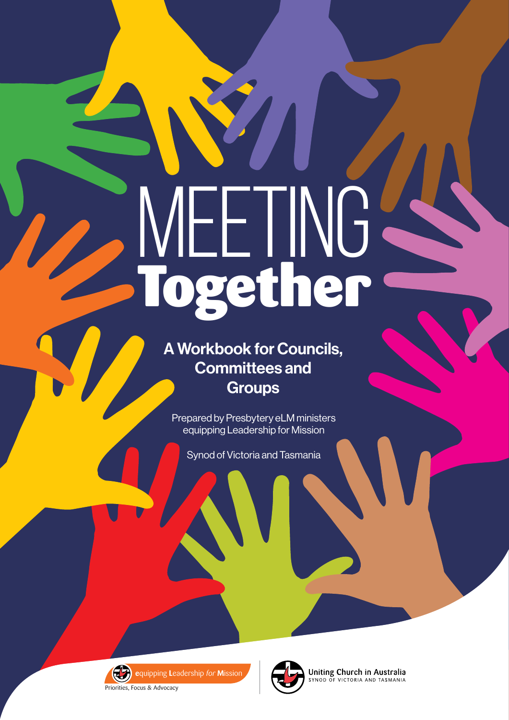# MEETING Together

A Workbook for Councils, Committees and **Groups** 

Prepared by Presbytery eLM ministers equipping Leadership for Mission

Synod of Victoria and Tasmania



**e**quipping **L**eadership *for* **M**ission

Priorities, Focus & Advocacy



**Uniting Church in Australia**<br>SYNOD OF VICTORIA AND TASMANIA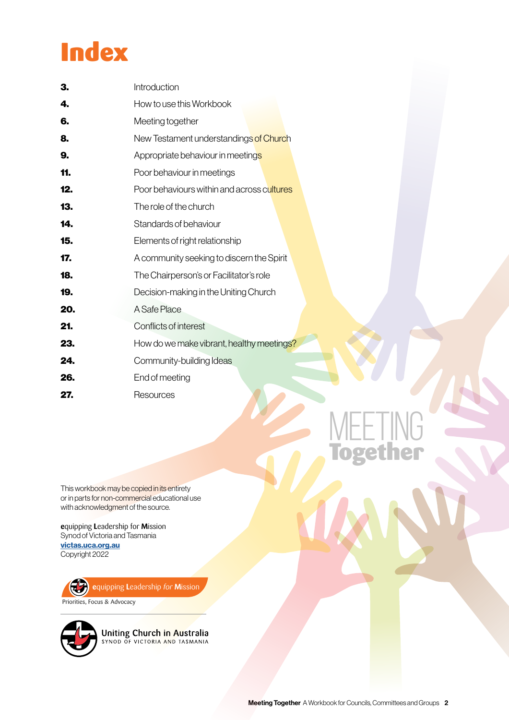## **Index**

| З.  | Introduction                               |
|-----|--------------------------------------------|
| 4.  | How to use this Workbook                   |
| 6.  | Meeting together                           |
| 8.  | New Testament understandings of Church     |
| 9.  | Appropriate behaviour in meetings          |
| 11. | Poor behaviour in meetings                 |
| 12. | Poor behaviours within and across cultures |
| 13. | The role of the church                     |
| 14. | Standards of behaviour                     |
| 15. | Elements of right relationship             |
| 17. | A community seeking to discern the Spirit  |
| 18. | The Chairperson's or Facilitator's role    |
| 19. | Decision-making in the Uniting Church      |
| 20. | A Safe Place                               |
| 21. | Conflicts of interest                      |
| 23. | How do we make vibrant, healthy meetings?  |
| 24. | Community-building Ideas                   |
| 26. | End of meeting                             |
| 27. | Resources                                  |

This workbook may be copied in its entirety or in parts for non-commercial educational use with acknowledgment of the source.

**e**quipping **L**eadership for **M**ission Synod of Victoria and Tasmania [victas.uca.org.au](http://victas.uca.org.au) Copyright 2022





Uniting Church in Australia<br>SYNOD OF VICTORIA AND TASMANIA

MEETING

Together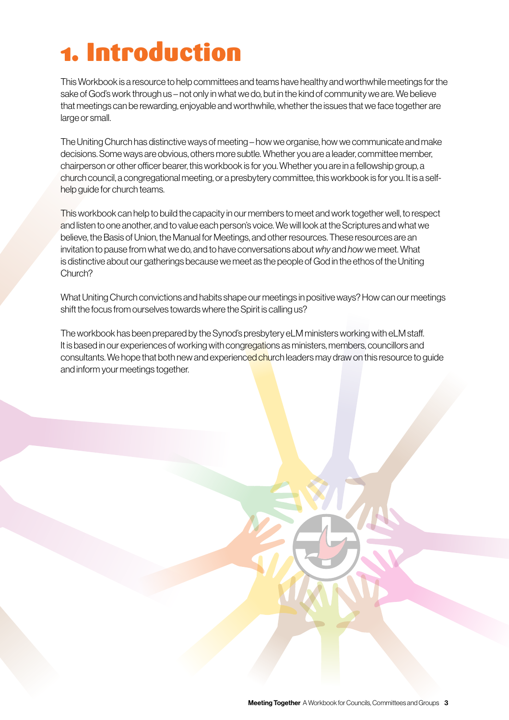# 1. Introduction

This Workbook is a resource to help committees and teams have healthy and worthwhile meetings for the sake of God's work through us – not only in what we do, but in the kind of community we are. We believe that meetings can be rewarding, enjoyable and worthwhile, whether the issues that we face together are large or small.

The Uniting Church has distinctive ways of meeting – how we organise, how we communicate and make decisions. Some ways are obvious, others more subtle. Whether you are a leader, committee member, chairperson or other officer bearer, this workbook is for you. Whether you are in a fellowship group, a church council, a congregational meeting, or a presbytery committee, this workbook is for you. It is a selfhelp guide for church teams.

This workbook can help to build the capacity in our members to meet and work together well, to respect and listen to one another, and to value each person's voice. We will look at the Scriptures and what we believe, the Basis of Union, the Manual for Meetings, and other resources. These resources are an invitation to pause from what we do, and to have conversations about *why* and *how* we meet. What is distinctive about our gatherings because we meet as the people of God in the ethos of the Uniting Church?

What Uniting Church convictions and habits shape our meetings in positive ways? How can our meetings shift the focus from ourselves towards where the Spirit is calling us?

The workbook has been prepared by the Synod's presbytery eLM ministers working with eLM staff. It is based in our experiences of working with congregations as ministers, members, councillors and consultants. We hope that both new and experienced church leaders may draw on this resource to guide and inform your meetings together.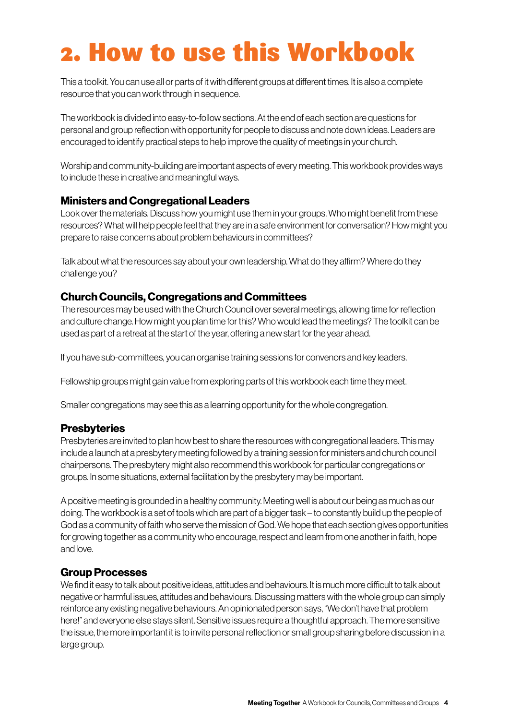## 2. How to use this Workbook

This a toolkit. You can use all or parts of it with different groups at different times. It is also a complete resource that you can work through in sequence.

The workbook is divided into easy-to-follow sections. At the end of each section are questions for personal and group reflection with opportunity for people to discuss and note down ideas. Leaders are encouraged to identify practical steps to help improve the quality of meetings in your church.

Worship and community-building are important aspects of every meeting. This workbook provides ways to include these in creative and meaningful ways.

#### Ministers and Congregational Leaders

Look over the materials. Discuss how you might use them in your groups. Who might benefit from these resources? What will help people feel that they are in a safe environment for conversation? How might you prepare to raise concerns about problem behaviours in committees?

Talk about what the resources say about your own leadership. What do they affirm? Where do they challenge you?

#### Church Councils, Congregations and Committees

The resources may be used with the Church Council over several meetings, allowing time for reflection and culture change. How might you plan time for this? Who would lead the meetings? The toolkit can be used as part of a retreat at the start of the year, offering a new start for the year ahead.

If you have sub-committees, you can organise training sessions for convenors and key leaders.

Fellowship groups might gain value from exploring parts of this workbook each time they meet.

Smaller congregations may see this as a learning opportunity for the whole congregation.

#### **Presbyteries**

Presbyteries are invited to plan how best to share the resources with congregational leaders. This may include a launch at a presbytery meeting followed by a training session for ministers and church council chairpersons. The presbytery might also recommend this workbook for particular congregations or groups. In some situations, external facilitation by the presbytery may be important.

A positive meeting is grounded in a healthy community. Meeting well is about our being as much as our doing. The workbook is a set of tools which are part of a bigger task – to constantly build up the people of God as a community of faith who serve the mission of God. We hope that each section gives opportunities for growing together as a community who encourage, respect and learn from one another in faith, hope and love.

#### Group Processes

We find it easy to talk about positive ideas, attitudes and behaviours. It is much more difficult to talk about negative or harmful issues, attitudes and behaviours. Discussing matters with the whole group can simply reinforce any existing negative behaviours. An opinionated person says, "We don't have that problem here!" and everyone else stays silent. Sensitive issues require a thoughtful approach. The more sensitive the issue, the more important it is to invite personal reflection or small group sharing before discussion in a large group.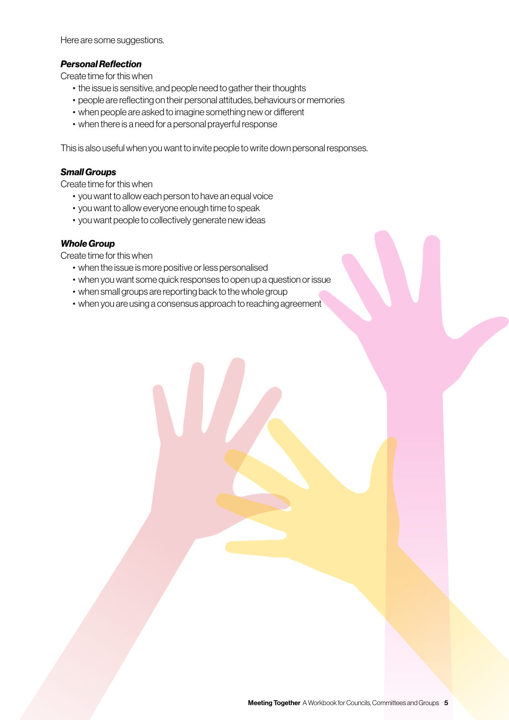Here are some suggestions.

#### *Personal Reflection*

Create time for this when

- the issue is sensitive, and people need to gather their thoughts
- people are reflecting on their personal attitudes, behaviours or memories
- when people are asked to imagine something new or different
- when there is a need for a personal prayerful response

This is also useful when you want to invite people to write down personal responses.

#### *Small Groups*

Create time for this when

- you want to allow each person to have an equal voice
- you want to allow everyone enough time to speak
- you want people to collectively generate new ideas

#### *Whole Group*

Create time for this when

- when the issue is more positive or less personalised
- when you want some quick responses to open up a question or issue
- when small groups are reporting back to the whole group
- when you are using a consensus approach to reaching agreement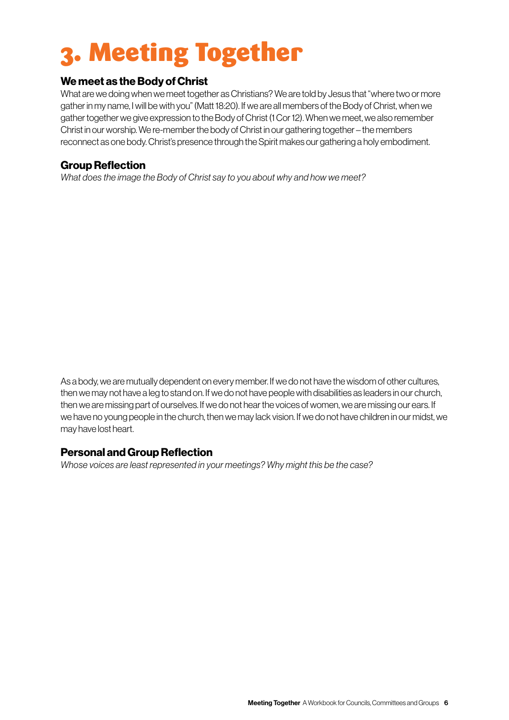# 3. Meeting Together

#### We meet as the Body of Christ

What are we doing when we meet together as Christians? We are told by Jesus that "where two or more gather in my name, I will be with you" (Matt 18:20). If we are all members of the Body of Christ, when we gather together we give expression to the Body of Christ (1 Cor 12). When we meet, we also remember Christ in our worship. We re-member the body of Christ in our gathering together – the members reconnect as one body. Christ's presence through the Spirit makes our gathering a holy embodiment.

#### Group Reflection

*What does the image the Body of Christ say to you about why and how we meet?* 

As a body, we are mutually dependent on every member. If we do not have the wisdom of other cultures, then we may not have a leg to stand on. If we do not have people with disabilities as leaders in our church, then we are missing part of ourselves. If we do not hear the voices of women, we are missing our ears. If we have no young people in the church, then we may lack vision. If we do not have children in our midst, we may have lost heart.

#### Personal and Group Reflection

*Whose voices are least represented in your meetings? Why might this be the case?*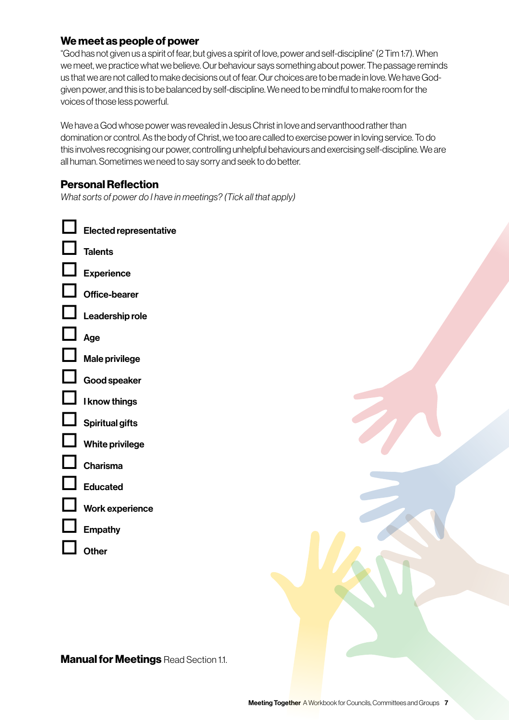#### We meet as people of power

"God has not given us a spirit of fear, but gives a spirit of love, power and self-discipline" (2 Tim 1:7). When we meet, we practice what we believe. Our behaviour says something about power. The passage reminds us that we are not called to make decisions out of fear. Our choices are to be made in love. We have Godgiven power, and this is to be balanced by self-discipline. We need to be mindful to make room for the voices of those less powerful.

We have a God whose power was revealed in Jesus Christ in love and servanthood rather than domination or control. As the body of Christ, we too are called to exercise power in loving service. To do this involves recognising our power, controlling unhelpful behaviours and exercising self-discipline. We are all human. Sometimes we need to say sorry and seek to do better.

#### Personal Reflection

*What sorts of power do I have in meetings? (Tick all that apply)*



**Manual for Meetings Read Section 1.1.**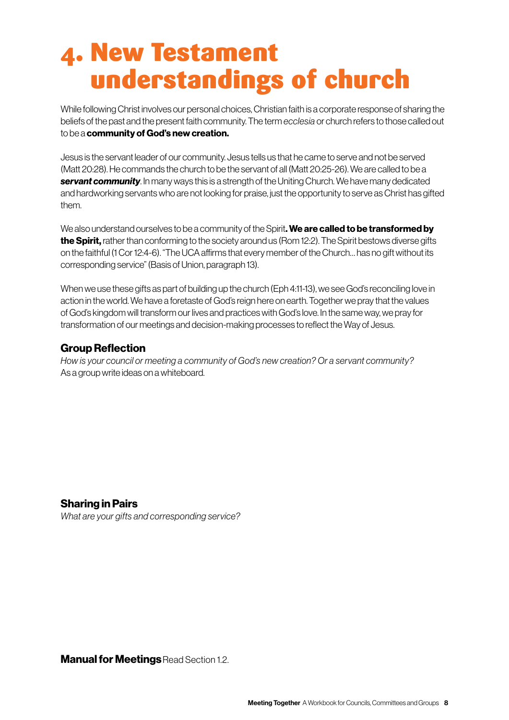### 4. New Testament understandings of church

While following Christ involves our personal choices, Christian faith is a corporate response of sharing the beliefs of the past and the present faith community. The term *ecclesia* or church refers to those called out to be a community of God's new creation.

Jesus is the servant leader of our community. Jesus tells us that he came to serve and not be served (Matt 20:28). He commands the church to be the servant of all (Matt 20:25-26). We are called to be a **servant community**. In many ways this is a strength of the Uniting Church. We have many dedicated and hardworking servants who are not looking for praise, just the opportunity to serve as Christ has gifted them.

We also understand ourselves to be a community of the Spirit. We are called to be transformed by the Spirit, rather than conforming to the society around us (Rom 12:2). The Spirit bestows diverse gifts on the faithful (1 Cor 12:4-6). "The UCA affirms that every member of the Church… has no gift without its corresponding service" (Basis of Union, paragraph 13).

When we use these gifts as part of building up the church (Eph 4:11-13), we see God's reconciling love in action in the world. We have a foretaste of God's reign here on earth. Together we pray that the values of God's kingdom will transform our lives and practices with God's love. In the same way, we pray for transformation of our meetings and decision-making processes to reflect the Way of Jesus.

#### Group Reflection

*How is your council or meeting a community of God's new creation? Or a servant community?*  As a group write ideas on a whiteboard.

#### Sharing in Pairs

*What are your gifts and corresponding service?*

**Manual for Meetings Read Section 1.2.**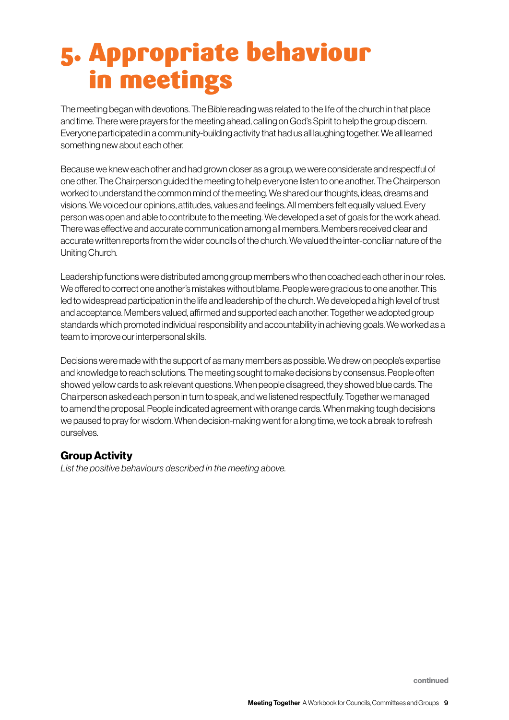## 5. Appropriate behaviour in meetings

The meeting began with devotions. The Bible reading was related to the life of the church in that place and time. There were prayers for the meeting ahead, calling on God's Spirit to help the group discern. Everyone participated in a community-building activity that had us all laughing together. We all learned something new about each other.

Because we knew each other and had grown closer as a group, we were considerate and respectful of one other. The Chairperson guided the meeting to help everyone listen to one another. The Chairperson worked to understand the common mind of the meeting. We shared our thoughts, ideas, dreams and visions. We voiced our opinions, attitudes, values and feelings. All members felt equally valued. Every person was open and able to contribute to the meeting. We developed a set of goals for the work ahead. There was effective and accurate communication among all members. Members received clear and accurate written reports from the wider councils of the church. We valued the inter-conciliar nature of the Uniting Church.

Leadership functions were distributed among group members who then coached each other in our roles. We offered to correct one another's mistakes without blame. People were gracious to one another. This led to widespread participation in the life and leadership of the church. We developed a high level of trust and acceptance. Members valued, affirmed and supported each another. Together we adopted group standards which promoted individual responsibility and accountability in achieving goals. We worked as a team to improve our interpersonal skills.

Decisions were made with the support of as many members as possible. We drew on people's expertise and knowledge to reach solutions. The meeting sought to make decisions by consensus. People often showed yellow cards to ask relevant questions. When people disagreed, they showed blue cards. The Chairperson asked each person in turn to speak, and we listened respectfully. Together we managed to amend the proposal. People indicated agreement with orange cards. When making tough decisions we paused to pray for wisdom. When decision-making went for a long time, we took a break to refresh ourselves.

#### Group Activity

*List the positive behaviours described in the meeting above.*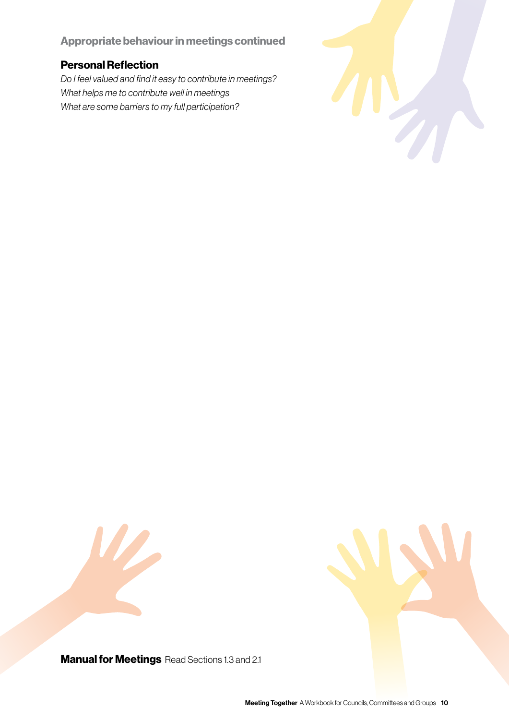#### Appropriate behaviour in meetings continued

#### Personal Reflection

*Do I feel valued and find it easy to contribute in meetings? What helps me to contribute well in meetings What are some barriers to my full participation?*







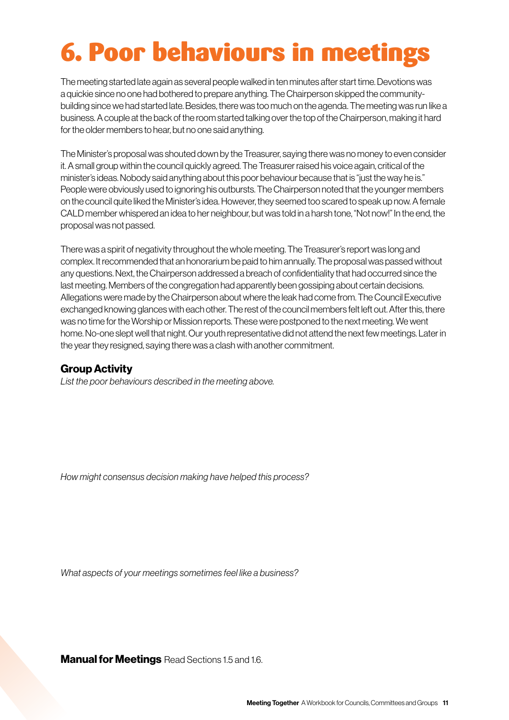# 6. Poor behaviours in meetings

The meeting started late again as several people walked in ten minutes after start time. Devotions was a quickie since no one had bothered to prepare anything. The Chairperson skipped the communitybuilding since we had started late. Besides, there was too much on the agenda. The meeting was run like a business. A couple at the back of the room started talking over the top of the Chairperson, making it hard for the older members to hear, but no one said anything.

The Minister's proposal was shouted down by the Treasurer, saying there was no money to even consider it. A small group within the council quickly agreed. The Treasurer raised his voice again, critical of the minister's ideas. Nobody said anything about this poor behaviour because that is "just the way he is." People were obviously used to ignoring his outbursts. The Chairperson noted that the younger members on the council quite liked the Minister's idea. However, they seemed too scared to speak up now. A female CALD member whispered an idea to her neighbour, but was told in a harsh tone, "Not now!" In the end, the proposal was not passed.

There was a spirit of negativity throughout the whole meeting. The Treasurer's report was long and complex. It recommended that an honorarium be paid to him annually. The proposal was passed without any questions. Next, the Chairperson addressed a breach of confidentiality that had occurred since the last meeting. Members of the congregation had apparently been gossiping about certain decisions. Allegations were made by the Chairperson about where the leak had come from. The Council Executive exchanged knowing glances with each other. The rest of the council members felt left out. After this, there was no time for the Worship or Mission reports. These were postponed to the next meeting. We went home. No-one slept well that night. Our youth representative did not attend the next few meetings. Later in the year they resigned, saying there was a clash with another commitment.

#### Group Activity

*List the poor behaviours described in the meeting above.*

*How might consensus decision making have helped this process?*

*What aspects of your meetings sometimes feel like a business?* 

**Manual for Meetings** Read Sections 1.5 and 1.6.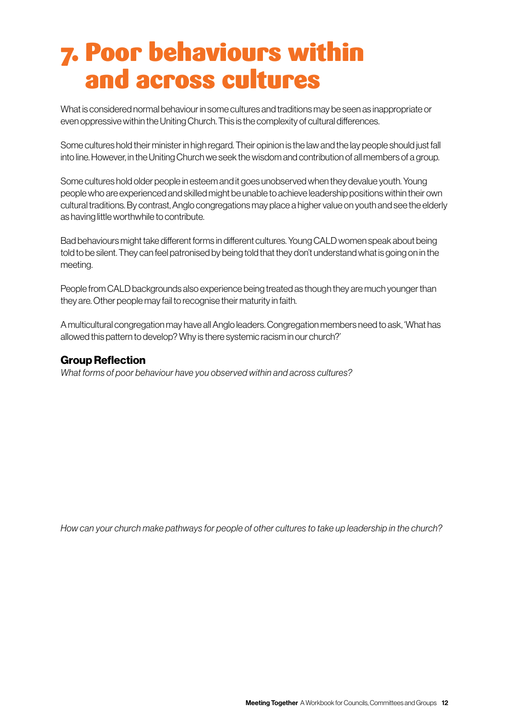### 7. Poor behaviours within and across cultures

What is considered normal behaviour in some cultures and traditions may be seen as inappropriate or even oppressive within the Uniting Church. This is the complexity of cultural differences.

Some cultures hold their minister in high regard. Their opinion is the law and the lay people should just fall into line. However, in the Uniting Church we seek the wisdom and contribution of all members of a group.

Some cultures hold older people in esteem and it goes unobserved when they devalue youth. Young people who are experienced and skilled might be unable to achieve leadership positions within their own cultural traditions. By contrast, Anglo congregations may place a higher value on youth and see the elderly as having little worthwhile to contribute.

Bad behaviours might take different forms in different cultures. Young CALD women speak about being told to be silent. They can feel patronised by being told that they don't understand what is going on in the meeting.

People from CALD backgrounds also experience being treated as though they are much younger than they are. Other people may fail to recognise their maturity in faith.

A multicultural congregation may have all Anglo leaders. Congregation members need to ask, 'What has allowed this pattern to develop? Why is there systemic racism in our church?'

#### Group Reflection

*What forms of poor behaviour have you observed within and across cultures?*

*How can your church make pathways for people of other cultures to take up leadership in the church?*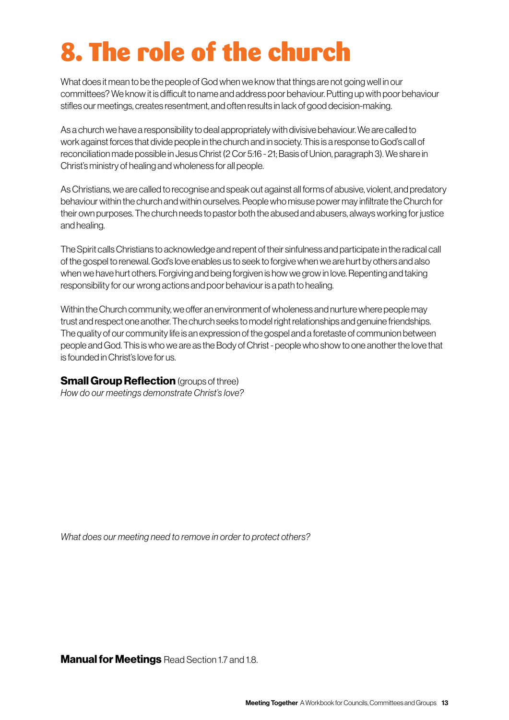# 8. The role of the church

What does it mean to be the people of God when we know that things are not going well in our committees? We know it is difficult to name and address poor behaviour. Putting up with poor behaviour stifles our meetings, creates resentment, and often results in lack of good decision-making.

As a church we have a responsibility to deal appropriately with divisive behaviour. We are called to work against forces that divide people in the church and in society. This is a response to God's call of reconciliation made possible in Jesus Christ (2 Cor 5:16 - 21; Basis of Union, paragraph 3). We share in Christ's ministry of healing and wholeness for all people.

As Christians, we are called to recognise and speak out against all forms of abusive, violent, and predatory behaviour within the church and within ourselves. People who misuse power may infiltrate the Church for their own purposes. The church needs to pastor both the abused and abusers, always working for justice and healing.

The Spirit calls Christians to acknowledge and repent of their sinfulness and participate in the radical call of the gospel to renewal. God's love enables us to seek to forgive when we are hurt by others and also when we have hurt others. Forgiving and being forgiven is how we grow in love. Repenting and taking responsibility for our wrong actions and poor behaviour is a path to healing.

Within the Church community, we offer an environment of wholeness and nurture where people may trust and respect one another. The church seeks to model right relationships and genuine friendships. The quality of our community life is an expression of the gospel and a foretaste of communion between people and God. This is who we are as the Body of Christ - people who show to one another the love that is founded in Christ's love for us.

#### **Small Group Reflection** (groups of three)

*How do our meetings demonstrate Christ's love?* 

*What does our meeting need to remove in order to protect others?*

**Manual for Meetings** Read Section 1.7 and 1.8.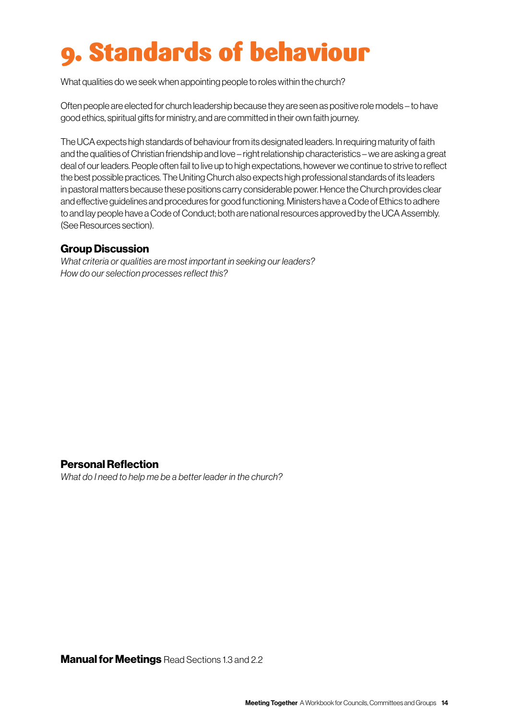# 9. Standards of behaviour

What qualities do we seek when appointing people to roles within the church?

Often people are elected for church leadership because they are seen as positive role models – to have good ethics, spiritual gifts for ministry, and are committed in their own faith journey.

The UCA expects high standards of behaviour from its designated leaders. In requiring maturity of faith and the qualities of Christian friendship and love – right relationship characteristics – we are asking a great deal of our leaders. People often fail to live up to high expectations, however we continue to strive to reflect the best possible practices. The Uniting Church also expects high professional standards of its leaders in pastoral matters because these positions carry considerable power. Hence the Church provides clear and effective guidelines and procedures for good functioning. Ministers have a Code of Ethics to adhere to and lay people have a Code of Conduct; both are national resources approved by the UCA Assembly. (See Resources section).

#### Group Discussion

*What criteria or qualities are most important in seeking our leaders? How do our selection processes reflect this?*

#### Personal Reflection

*What do I need to help me be a better leader in the church?*

**Manual for Meetings** Read Sections 1.3 and 2.2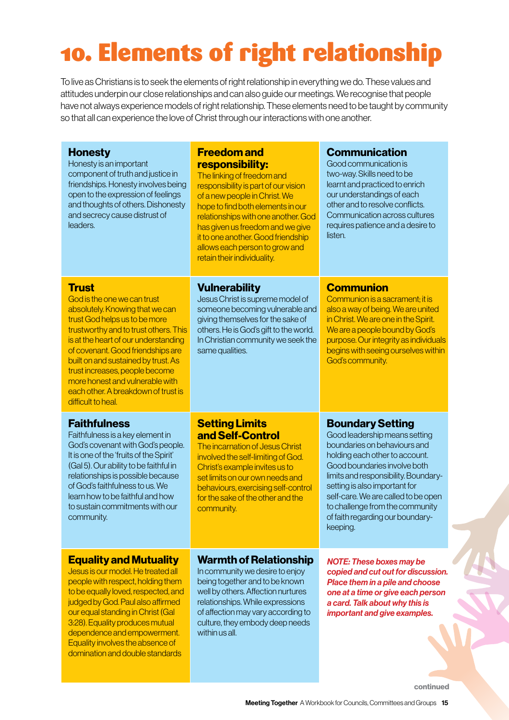# 10. Elements of right relationship

To live as Christians is to seek the elements of right relationship in everything we do. These values and attitudes underpin our close relationships and can also guide our meetings. We recognise that people have not always experience models of right relationship. These elements need to be taught by community so that all can experience the love of Christ through our interactions with one another.

| <b>Honesty</b><br>Honesty is an important<br>component of truth and justice in<br>friendships. Honesty involves being<br>open to the expression of feelings<br>and thoughts of others. Dishonesty<br>and secrecy cause distrust of<br>leaders.                                                                                                                                                                 | <b>Freedom and</b><br>responsibility:<br>The linking of freedom and<br>responsibility is part of our vision<br>of a new people in Christ. We<br>hope to find both elements in our<br>relationships with one another. God<br>has given us freedom and we give<br>it to one another. Good friendship<br>allows each person to grow and<br>retain their individuality. | <b>Communication</b><br>Good communication is<br>two-way. Skills need to be<br>learnt and practiced to enrich<br>our understandings of each<br>other and to resolve conflicts.<br>Communication across cultures<br>requires patience and a desire to<br>listen.                                                                    |
|----------------------------------------------------------------------------------------------------------------------------------------------------------------------------------------------------------------------------------------------------------------------------------------------------------------------------------------------------------------------------------------------------------------|---------------------------------------------------------------------------------------------------------------------------------------------------------------------------------------------------------------------------------------------------------------------------------------------------------------------------------------------------------------------|------------------------------------------------------------------------------------------------------------------------------------------------------------------------------------------------------------------------------------------------------------------------------------------------------------------------------------|
| <b>Trust</b><br>God is the one we can trust<br>absolutely. Knowing that we can<br>trust God helps us to be more<br>trustworthy and to trust others. This<br>is at the heart of our understanding<br>of covenant. Good friendships are<br>built on and sustained by trust. As<br>trust increases, people become<br>more honest and vulnerable with<br>each other. A breakdown of trust is<br>difficult to heal. | <b>Vulnerability</b><br>Jesus Christ is supreme model of<br>someone becoming vulnerable and<br>giving themselves for the sake of<br>others. He is God's gift to the world.<br>In Christian community we seek the<br>same qualities.                                                                                                                                 | <b>Communion</b><br>Communion is a sacrament; it is<br>also a way of being. We are united<br>in Christ. We are one in the Spirit.<br>We are a people bound by God's<br>purpose. Our integrity as individuals<br>begins with seeing ourselves within<br>God's community.                                                            |
| <b>Faithfulness</b>                                                                                                                                                                                                                                                                                                                                                                                            | <b>Setting Limits</b>                                                                                                                                                                                                                                                                                                                                               | <b>Boundary Setting</b>                                                                                                                                                                                                                                                                                                            |
| Faithfulness is a key element in<br>God's covenant with God's people.<br>It is one of the 'fruits of the Spirit'<br>(Gal 5). Our ability to be faithful in<br>relationships is possible because<br>of God's faithfulness to us. We<br>learn how to be faithful and how<br>to sustain commitments with our<br>community.                                                                                        | and Self-Control<br>The incarnation of Jesus Christ<br>involved the self-limiting of God.<br>Christ's example invites us to<br>set limits on our own needs and<br>behaviours, exercising self-control<br>for the sake of the other and the<br>community.                                                                                                            | Good leadership means setting<br>boundaries on behaviours and<br>holding each other to account.<br>Good boundaries involve both<br>limits and responsibility. Boundary-<br>setting is also important for<br>self-care. We are called to be open<br>to challenge from the community<br>of faith regarding our boundary-<br>keeping. |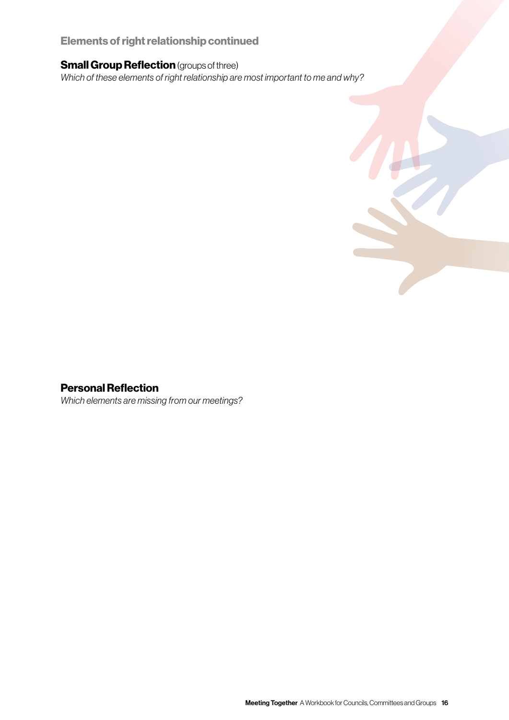#### Elements of right relationship continued

#### **Small Group Reflection** (groups of three)

*Which of these elements of right relationship are most important to me and why?*

#### Personal Reflection

*Which elements are missing from our meetings?*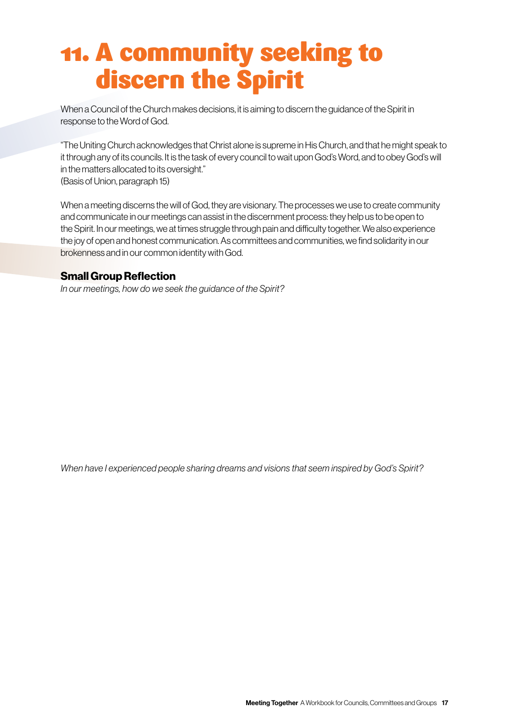### 11. A community seeking to discern the Spirit

When a Council of the Church makes decisions, it is aiming to discern the guidance of the Spirit in response to the Word of God.

"The Uniting Church acknowledges that Christ alone is supreme in His Church, and that he might speak to it through any of its councils. It is the task of every council to wait upon God's Word, and to obey God's will in the matters allocated to its oversight." (Basis of Union, paragraph 15)

When a meeting discerns the will of God, they are visionary. The processes we use to create community and communicate in our meetings can assist in the discernment process: they help us to be open to the Spirit. In our meetings, we at times struggle through pain and difficulty together. We also experience the joy of open and honest communication. As committees and communities, we find solidarity in our brokenness and in our common identity with God.

#### Small Group Reflection

*In our meetings, how do we seek the guidance of the Spirit?*

*When have I experienced people sharing dreams and visions that seem inspired by God's Spirit?*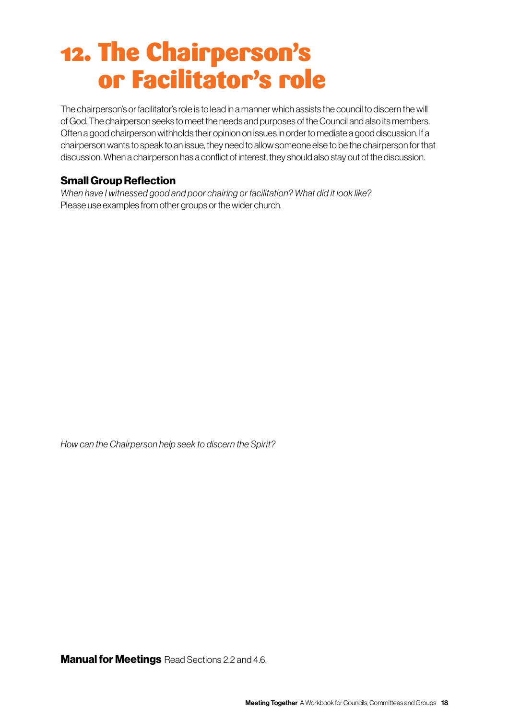### 12. The Chairperson's or Facilitator's role

The chairperson's or facilitator's role is to lead in a manner which assists the council to discern the will of God. The chairperson seeks to meet the needs and purposes of the Council and also its members. Often a good chairperson withholds their opinion on issues in order to mediate a good discussion. If a chairperson wants to speak to an issue, they need to allow someone else to be the chairperson for that discussion. When a chairperson has a conflict of interest, they should also stay out of the discussion.

#### Small Group Reflection

*When have I witnessed good and poor chairing or facilitation? What did it look like?*  Please use examples from other groups or the wider church.

*How can the Chairperson help seek to discern the Spirit?*

**Manual for Meetings** Read Sections 2.2 and 4.6.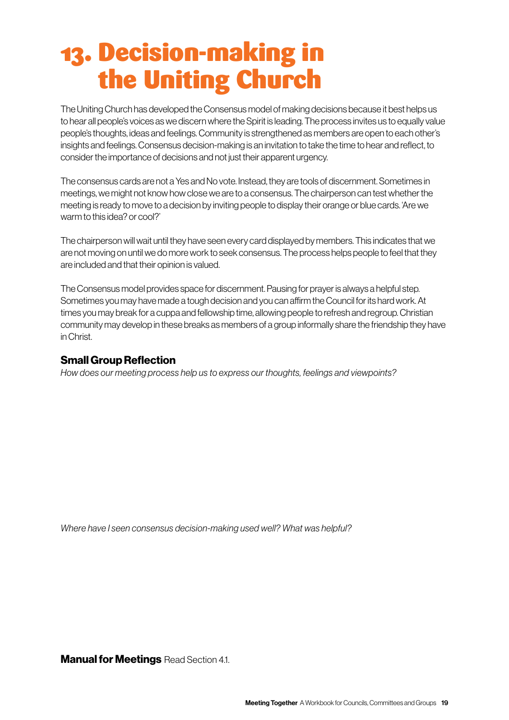## 13. Decision-making in the Uniting Church

The Uniting Church has developed the Consensus model of making decisions because it best helps us to hear all people's voices as we discern where the Spirit is leading. The process invites us to equally value people's thoughts, ideas and feelings. Community is strengthened as members are open to each other's insights and feelings. Consensus decision-making is an invitation to take the time to hear and reflect, to consider the importance of decisions and not just their apparent urgency.

The consensus cards are not a Yes and No vote. Instead, they are tools of discernment. Sometimes in meetings, we might not know how close we are to a consensus. The chairperson can test whether the meeting is ready to move to a decision by inviting people to display their orange or blue cards. 'Are we warm to this idea? or cool?'

The chairperson will wait until they have seen every card displayed by members. This indicates that we are not moving on until we do more work to seek consensus. The process helps people to feel that they are included and that their opinion is valued.

The Consensus model provides space for discernment. Pausing for prayer is always a helpful step. Sometimes you may have made a tough decision and you can affirm the Council for its hard work. At times you may break for a cuppa and fellowship time, allowing people to refresh and regroup. Christian community may develop in these breaks as members of a group informally share the friendship they have in Christ.

#### Small Group Reflection

*How does our meeting process help us to express our thoughts, feelings and viewpoints?*

*Where have I seen consensus decision-making used well? What was helpful?*

**Manual for Meetings Read Section 4.1.**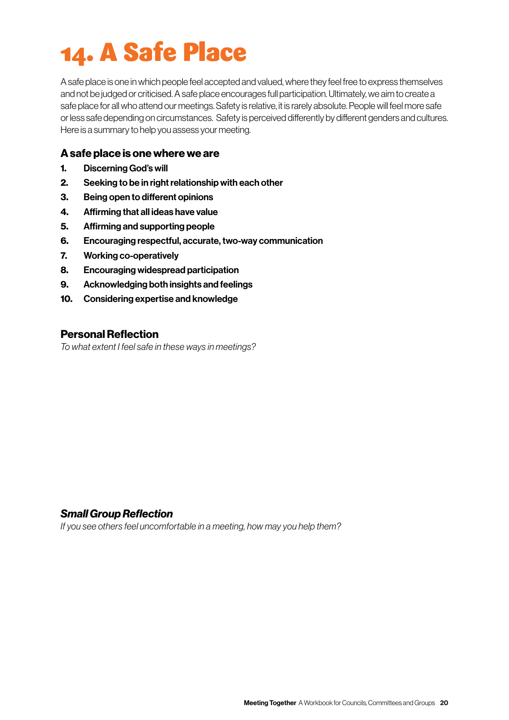# 14. A Safe Place

A safe place is one in which people feel accepted and valued, where they feel free to express themselves and not be judged or criticised. A safe place encourages full participation. Ultimately, we aim to create a safe place for all who attend our meetings. Safety is relative, it is rarely absolute. People will feel more safe or less safe depending on circumstances. Safety is perceived differently by different genders and cultures. Here is a summary to help you assess your meeting.

#### A safe place is one where we are

- 1. Discerning God's will
- 2. Seeking to be in right relationship with each other
- 3. Being open to different opinions
- 4. Affirming that all ideas have value
- 5. Affirming and supporting people
- 6. Encouraging respectful, accurate, two-way communication
- 7. Working co-operatively
- 8. Encouraging widespread participation
- 9. Acknowledging both insights and feelings
- 10. Considering expertise and knowledge

#### Personal Reflection

*To what extent I feel safe in these ways in meetings?*

#### *Small Group Reflection*

*If you see others feel uncomfortable in a meeting, how may you help them?*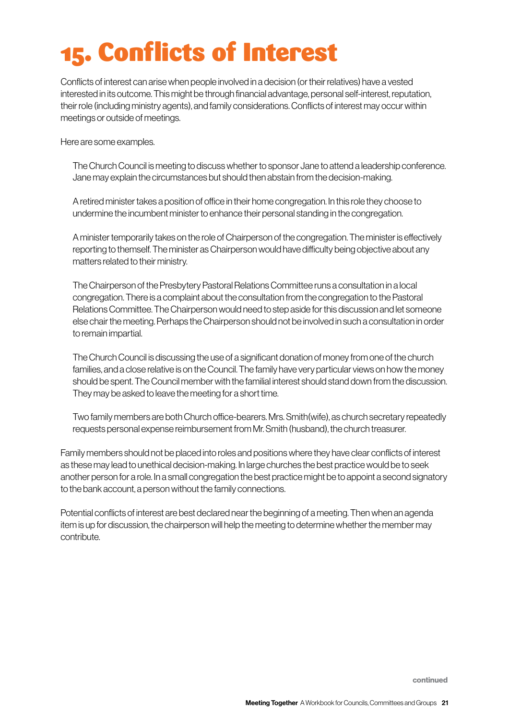# 15. Conflicts of Interest

Conflicts of interest can arise when people involved in a decision (or their relatives) have a vested interested in its outcome. This might be through financial advantage, personal self-interest, reputation, their role (including ministry agents), and family considerations. Conflicts of interest may occur within meetings or outside of meetings.

Here are some examples.

The Church Council is meeting to discuss whether to sponsor Jane to attend a leadership conference. Jane may explain the circumstances but should then abstain from the decision-making.

A retired minister takes a position of office in their home congregation. In this role they choose to undermine the incumbent minister to enhance their personal standing in the congregation.

A minister temporarily takes on the role of Chairperson of the congregation. The minister is effectively reporting to themself. The minister as Chairperson would have difficulty being objective about any matters related to their ministry.

The Chairperson of the Presbytery Pastoral Relations Committee runs a consultation in a local congregation. There is a complaint about the consultation from the congregation to the Pastoral Relations Committee. The Chairperson would need to step aside for this discussion and let someone else chair the meeting. Perhaps the Chairperson should not be involved in such a consultation in order to remain impartial.

The Church Council is discussing the use of a significant donation of money from one of the church families, and a close relative is on the Council. The family have very particular views on how the money should be spent. The Council member with the familial interest should stand down from the discussion. They may be asked to leave the meeting for a short time.

Two family members are both Church office-bearers. Mrs. Smith(wife), as church secretary repeatedly requests personal expense reimbursement from Mr. Smith (husband), the church treasurer.

Family members should not be placed into roles and positions where they have clear conflicts of interest as these may lead to unethical decision-making. In large churches the best practice would be to seek another person for a role. In a small congregation the best practice might be to appoint a second signatory to the bank account, a person without the family connections.

Potential conflicts of interest are best declared near the beginning of a meeting. Then when an agenda item is up for discussion, the chairperson will help the meeting to determine whether the member may contribute.

continued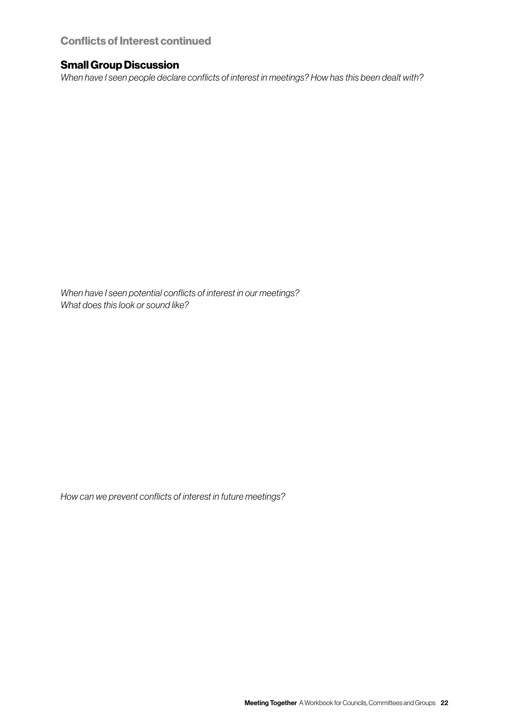#### Conflicts of Interest continued

#### Small Group Discussion

*When have I seen people declare conflicts of interest in meetings? How has this been dealt with?* 

*When have I seen potential conflicts of interest in our meetings? What does this look or sound like?*

*How can we prevent conflicts of interest in future meetings?*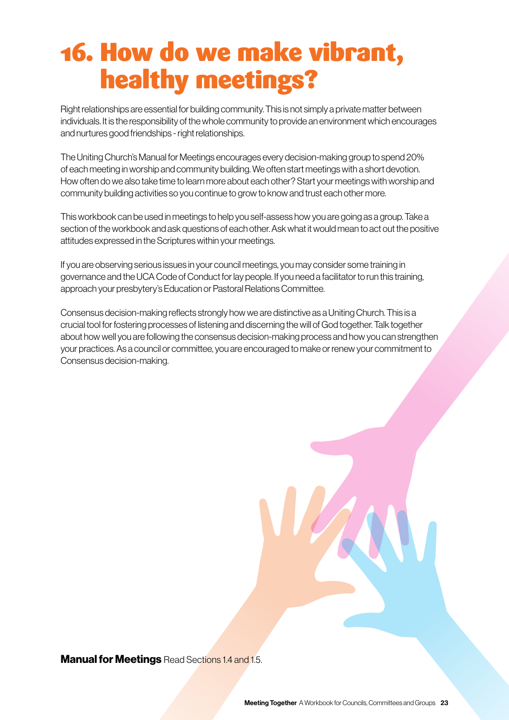## 16. How do we make vibrant, healthy meetings?

Right relationships are essential for building community. This is not simply a private matter between individuals. It is the responsibility of the whole community to provide an environment which encourages and nurtures good friendships - right relationships.

The Uniting Church's Manual for Meetings encourages every decision-making group to spend 20% of each meeting in worship and community building. We often start meetings with a short devotion. How often do we also take time to learn more about each other? Start your meetings with worship and community building activities so you continue to grow to know and trust each other more.

This workbook can be used in meetings to help you self-assess how you are going as a group. Take a section of the workbook and ask questions of each other. Ask what it would mean to act out the positive attitudes expressed in the Scriptures within your meetings.

If you are observing serious issues in your council meetings, you may consider some training in governance and the UCA Code of Conduct for lay people. If you need a facilitator to run this training, approach your presbytery's Education or Pastoral Relations Committee.

Consensus decision-making reflects strongly how we are distinctive as a Uniting Church. This is a crucial tool for fostering processes of listening and discerning the will of God together. Talk together about how well you are following the consensus decision-making process and how you can strengthen your practices. As a council or committee, you are encouraged to make or renew your commitment to Consensus decision-making.

**Manual for Meetings** Read Sections 1.4 and 1.5.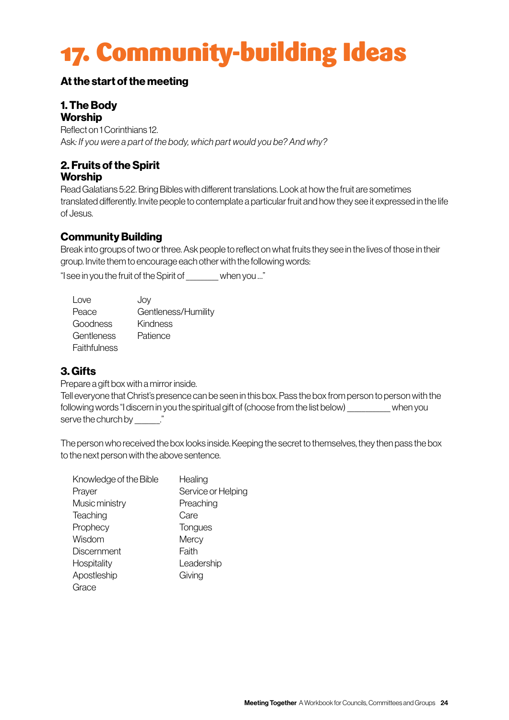# 17. Community-building Ideas

#### At the start of the meeting

#### 1. The Body **Worship**

Reflect on 1 Corinthians 12. Ask*: If you were a part of the body, which part would you be? And why?*

#### 2. Fruits of the Spirit **Worship**

Read Galatians 5:22. Bring Bibles with different translations. Look at how the fruit are sometimes translated differently. Invite people to contemplate a particular fruit and how they see it expressed in the life of Jesus.

#### Community Building

Break into groups of two or three. Ask people to reflect on what fruits they see in the lives of those in their group. Invite them to encourage each other with the following words:

"I see in you the fruit of the Spirit of \_\_\_\_\_\_\_\_\_ when you …"

| Love         | Joy                 |
|--------------|---------------------|
| Peace        | Gentleness/Humility |
| Goodness     | Kindness            |
| Gentleness   | Patience            |
| Faithfulness |                     |

#### 3. Gifts

Prepare a gift box with a mirror inside.

Tell everyone that Christ's presence can be seen in this box. Pass the box from person to person with the following words "I discern in you the spiritual gift of (choose from the list below) \_\_\_\_\_\_\_\_\_\_\_\_ when you serve the church by \_\_\_\_\_\_\_."

The person who received the box looks inside. Keeping the secret to themselves, they then pass the box to the next person with the above sentence.

| Knowledge of the Bible | Healing            |
|------------------------|--------------------|
| Prayer                 | Service or Helping |
| Music ministry         | Preaching          |
| Teaching               | Care               |
| Prophecy               | Tongues            |
| Wisdom                 | Mercy              |
| <b>Discernment</b>     | Faith              |
| Hospitality            | Leadership         |
| Apostleship            | Giving             |
| Grace                  |                    |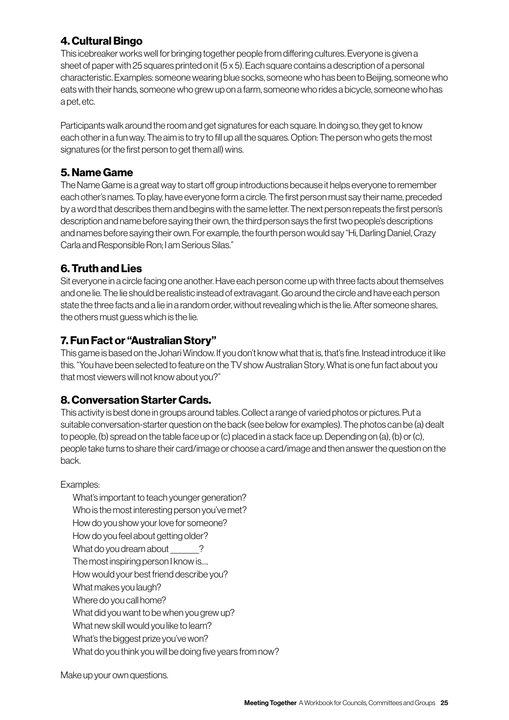#### 4. Cultural Bingo

This icebreaker works well for bringing together people from differing cultures. Everyone is given a sheet of paper with 25 squares printed on it (5 x 5). Each square contains a description of a personal characteristic. Examples: someone wearing blue socks, someone who has been to Beijing, someone who eats with their hands, someone who grew up on a farm, someone who rides a bicycle, someone who has a pet, etc.

Participants walk around the room and get signatures for each square. In doing so, they get to know each other in a fun way. The aim is to try to fill up all the squares. Option: The person who gets the most signatures (or the first person to get them all) wins.

#### 5. Name Game

The Name Game is a great way to start off group introductions because it helps everyone to remember each other's names. To play, have everyone form a circle. The first person must say their name, preceded by a word that describes them and begins with the same letter. The next person repeats the first person's description and name before saying their own, the third person says the first two people's descriptions and names before saying their own. For example, the fourth person would say "Hi, Darling Daniel, Crazy Carla and Responsible Ron; I am Serious Silas."

#### 6. Truth and Lies

Sit everyone in a circle facing one another. Have each person come up with three facts about themselves and one lie. The lie should be realistic instead of extravagant. Go around the circle and have each person state the three facts and a lie in a random order, without revealing which is the lie. After someone shares, the others must guess which is the lie.

#### 7. Fun Fact or "Australian Story"

This game is based on the Johari Window. If you don't know what that is, that's fine. Instead introduce it like this. "You have been selected to feature on the TV show Australian Story. What is one fun fact about you that most viewers will not know about you?"

#### 8. Conversation Starter Cards.

This activity is best done in groups around tables. Collect a range of varied photos or pictures. Put a suitable conversation-starter question on the back (see below for examples). The photos can be (a) dealt to people, (b) spread on the table face up or (c) placed in a stack face up. Depending on (a), (b) or (c), people take turns to share their card/image or choose a card/image and then answer the question on the back.

#### Examples:

What's important to teach younger generation? Who is the most interesting person you've met? How do you show your love for someone? How do you feel about getting older? What do you dream about  $\qquad$  ? The most inspiring person I know is…. How would your best friend describe you? What makes you laugh? Where do you call home? What did you want to be when you grew up? What new skill would you like to learn? What's the biggest prize you've won?

What do you think you will be doing five years from now?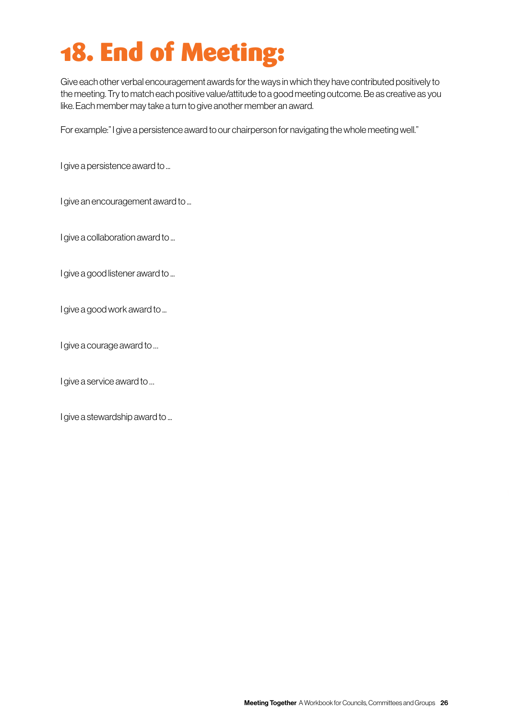# 18. End of Meeting:

Give each other verbal encouragement awards for the ways in which they have contributed positively to the meeting. Try to match each positive value/attitude to a good meeting outcome. Be as creative as you like. Each member may take a turn to give another member an award.

For example:" I give a persistence award to our chairperson for navigating the whole meeting well."

I give a persistence award to ...

I give an encouragement award to ...

I give a collaboration award to ...

I give a good listener award to ...

I give a good work award to ...

I give a courage award to …

I give a service award to …

I give a stewardship award to ...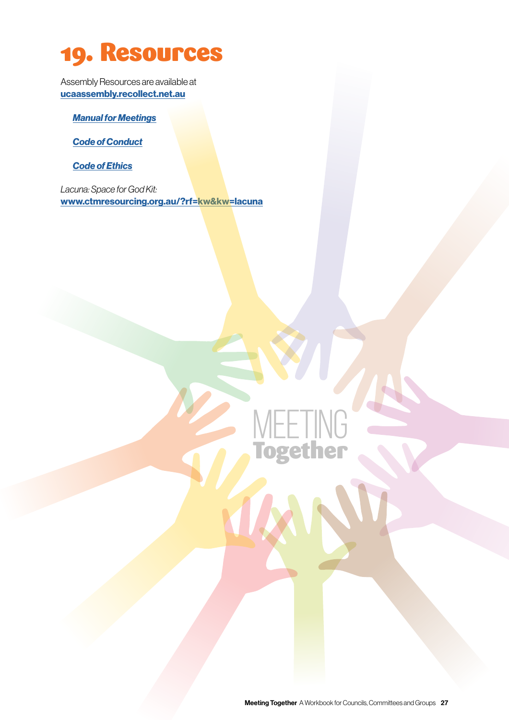### 19. Resources

Assembly Resources are available at [ucaassembly.recollect.net.au](http://ucaassembly.recollect.net.au)

*[Manual for Meetings](https://ucaassembly.recollect.net.au/nodes/view/388)*

*[Code of Conduct](https://ucaassembly.recollect.net.au/nodes/view/301?keywords=code%20of%20ethics&highlights=eyIwIjoiY29kZSIsIjEiOiJldGhpY3MuIiwiMyI6ImV0aGljcywiLCI1IjoiZXRoaWNzIiwiOCI6ImNvZGUsIn0=&lsk=b843103772ffe199d870ce57ba9ff20b)*

*[Code of Ethics](https://assembly.uca.org.au/images/assemblies/appendixdcoe.pdf)*

*Lacuna: Space for God Kit:*  [www.ctmresourcing.org.au/?rf=kw&kw=lacuna](http://www.ctmresourcing.org.au/?rf=kw&kw=lacuna)

MEETING

Together